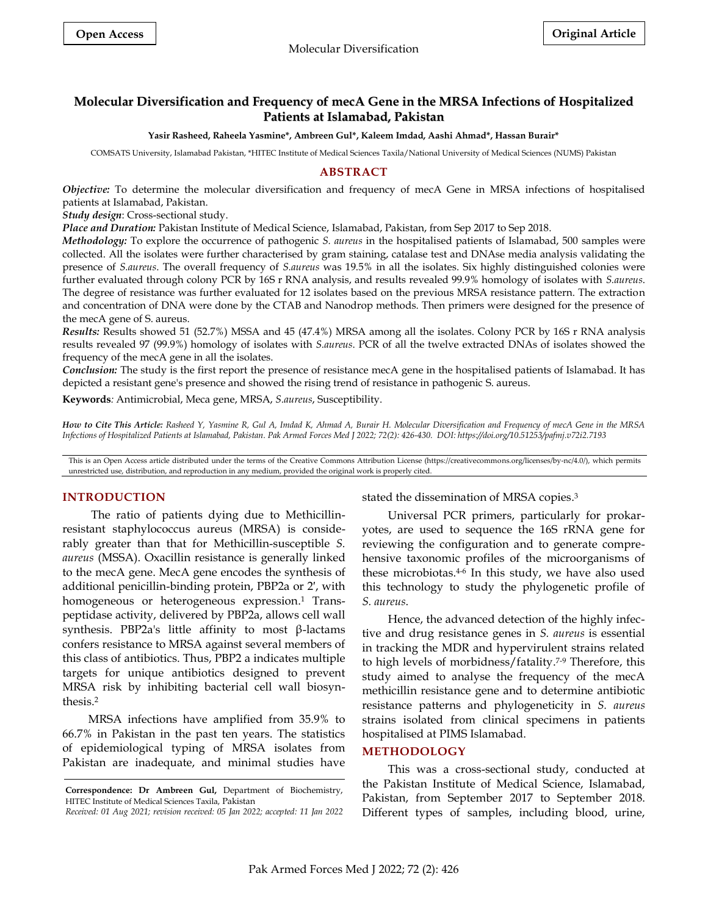# **Molecular Diversification and Frequency of mecA Gene in the MRSA Infections of Hospitalized Patients at Islamabad, Pakistan**

**Yasir Rasheed, Raheela Yasmine\*, Ambreen Gul\*, Kaleem Imdad, Aashi Ahmad\*, Hassan Burair\***

COMSATS University, Islamabad Pakistan, \*HITEC Institute of Medical Sciences Taxila/National University of Medical Sciences (NUMS) Pakistan

# **ABSTRACT**

*Objective:* To determine the molecular diversification and frequency of mecA Gene in MRSA infections of hospitalised patients at Islamabad, Pakistan.

*Study design*: Cross-sectional study.

*Place and Duration:* Pakistan Institute of Medical Science, Islamabad, Pakistan, from Sep 2017 to Sep 2018.

*Methodology:* To explore the occurrence of pathogenic *S. aureus* in the hospitalised patients of Islamabad, 500 samples were collected. All the isolates were further characterised by gram staining, catalase test and DNAse media analysis validating the presence of *S.aureus*. The overall frequency of *S.aureus* was 19.5% in all the isolates. Six highly distinguished colonies were further evaluated through colony PCR by 16S r RNA analysis, and results revealed 99.9% homology of isolates with *S.aureus*. The degree of resistance was further evaluated for 12 isolates based on the previous MRSA resistance pattern. The extraction and concentration of DNA were done by the CTAB and Nanodrop methods. Then primers were designed for the presence of the mecA gene of S. aureus.

*Results:* Results showed 51 (52.7%) MSSA and 45 (47.4%) MRSA among all the isolates. Colony PCR by 16S r RNA analysis results revealed 97 (99.9%) homology of isolates with *S.aureus*. PCR of all the twelve extracted DNAs of isolates showed the frequency of the mecA gene in all the isolates.

*Conclusion:* The study is the first report the presence of resistance mecA gene in the hospitalised patients of Islamabad. It has depicted a resistant gene's presence and showed the rising trend of resistance in pathogenic S. aureus.

**Keywords***:* Antimicrobial, Meca gene, MRSA, *S.aureus*, Susceptibility.

*How to Cite This Article: Rasheed Y, Yasmine R, Gul A, Imdad K, Ahmad A, Burair H. Molecular Diversification and Frequency of mecA Gene in the MRSA Infections of Hospitalized Patients at Islamabad, Pakistan. Pak Armed Forces Med J 2022; 72(2): 426-430. DOI: https://doi.org/10.51253/pafmj.v72i2.7193*

This is an Open Access article distributed under the terms of the Creative Commons Attribution License (https://creativecommons.org/licenses/by-nc/4.0/), which permits unrestricted use, distribution, and reproduction in any medium, provided the original work is properly cited.

## **INTRODUCTION**

The ratio of patients dying due to Methicillinresistant staphylococcus aureus (MRSA) is considerably greater than that for Methicillin-susceptible *S. aureus* (MSSA). Oxacillin resistance is generally linked to the mecA gene. MecA gene encodes the synthesis of additional penicillin-binding protein, PBP2a or 2′, with homogeneous or heterogeneous expression. <sup>1</sup> Transpeptidase activity, delivered by PBP2a, allows cell wall synthesis. PBP2a's little affinity to most β-lactams confers resistance to MRSA against several members of this class of antibiotics. Thus, PBP2 a indicates multiple targets for unique antibiotics designed to prevent MRSA risk by inhibiting bacterial cell wall biosynthesis. 2

MRSA infections have amplified from 35.9% to 66.7% in Pakistan in the past ten years. The statistics of epidemiological typing of MRSA isolates from Pakistan are inadequate, and minimal studies have stated the dissemination of MRSA copies. 3

Universal PCR primers, particularly for prokaryotes, are used to sequence the 16S rRNA gene for reviewing the configuration and to generate comprehensive taxonomic profiles of the microorganisms of these microbiotas. 4-6 In this study, we have also used this technology to study the phylogenetic profile of *S. aureus*.

Hence, the advanced detection of the highly infective and drug resistance genes in *S. aureus* is essential in tracking the MDR and hypervirulent strains related to high levels of morbidness/fatality. 7-9 Therefore, this study aimed to analyse the frequency of the mecA methicillin resistance gene and to determine antibiotic resistance patterns and phylogeneticity in *S. aureus* strains isolated from clinical specimens in patients hospitalised at PIMS Islamabad.

### **METHODOLOGY**

This was a cross-sectional study, conducted at the Pakistan Institute of Medical Science, Islamabad, Pakistan, from September 2017 to September 2018. Different types of samples, including blood, urine,

**Correspondence: Dr Ambreen Gul,** Department of Biochemistry, HITEC Institute of Medical Sciences Taxila, Pakistan

*Received: 01 Aug 2021; revision received: 05 Jan 2022; accepted: 11 Jan 2022*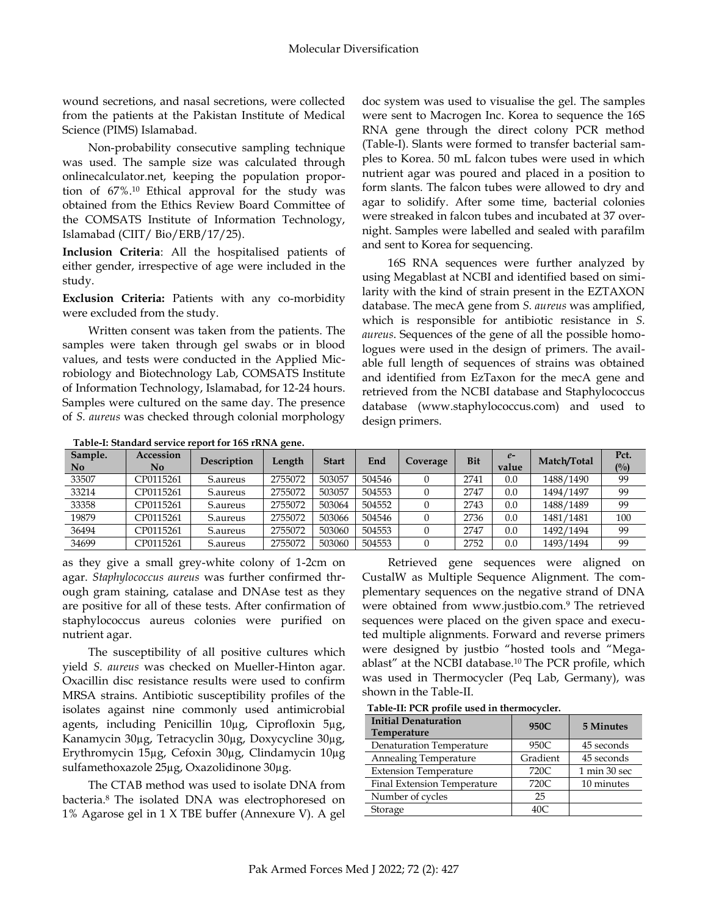wound secretions, and nasal secretions, were collected from the patients at the Pakistan Institute of Medical Science (PIMS) Islamabad.

Non-probability consecutive sampling technique was used. The sample size was calculated through onlinecalculator.net, keeping the population proportion of 67%. <sup>10</sup> Ethical approval for the study was obtained from the Ethics Review Board Committee of the COMSATS Institute of Information Technology, Islamabad (CIIT/ Bio/ERB/17/25).

**Inclusion Criteria**: All the hospitalised patients of either gender, irrespective of age were included in the study.

**Exclusion Criteria:** Patients with any co-morbidity were excluded from the study.

Written consent was taken from the patients. The samples were taken through gel swabs or in blood values, and tests were conducted in the Applied Microbiology and Biotechnology Lab, COMSATS Institute of Information Technology, Islamabad, for 12-24 hours. Samples were cultured on the same day. The presence of *S. aureus* was checked through colonial morphology

doc system was used to visualise the gel. The samples were sent to Macrogen Inc. Korea to sequence the 16S RNA gene through the direct colony PCR method (Table-I). Slants were formed to transfer bacterial samples to Korea. 50 mL falcon tubes were used in which nutrient agar was poured and placed in a position to form slants. The falcon tubes were allowed to dry and agar to solidify. After some time, bacterial colonies were streaked in falcon tubes and incubated at 37 overnight. Samples were labelled and sealed with parafilm and sent to Korea for sequencing.

16S RNA sequences were further analyzed by using Megablast at NCBI and identified based on similarity with the kind of strain present in the EZTAXON database. The mecA gene from *S. aureus* was amplified, which is responsible for antibiotic resistance in *S. aureus*. Sequences of the gene of all the possible homologues were used in the design of primers. The available full length of sequences of strains was obtained and identified from EzTaxon for the mecA gene and retrieved from the NCBI database and Staphylococcus database [\(www.staphylococcus.com\)](http://www.staphylococcus.com/) and used to design primers.

**Table-I: Standard service report for 16S rRNA gene.**

| Sample.<br>$\mathbf{N}\mathbf{0}$ | Accession<br>No | Description | Length  | <b>Start</b> | End    | Coverage | <b>Bit</b> | $e-$<br>value | Match/Total | Pct.<br>(0/0) |
|-----------------------------------|-----------------|-------------|---------|--------------|--------|----------|------------|---------------|-------------|---------------|
| 33507                             | CP0115261       | S.aureus    | 2755072 | 503057       | 504546 |          | 2741       | 0.0           | 1488/1490   | 99            |
| 33214                             | CP0115261       | S.aureus    | 2755072 | 503057       | 504553 |          | 2747       | 0.0           | 1494/1497   | 99            |
| 33358                             | CP0115261       | S.aureus    | 2755072 | 503064       | 504552 |          | 2743       | 0.0           | 1488/1489   | 99            |
| 19879                             | CP0115261       | S.aureus    | 2755072 | 503066       | 504546 |          | 2736       | 0.0           | 1481/1481   | 100           |
| 36494                             | CP0115261       | S.aureus    | 2755072 | 503060       | 504553 |          | 2747       | 0.0           | 1492/1494   | 99            |
| 34699                             | CP0115261       | S.aureus    | 2755072 | 503060       | 504553 |          | 2752       | 0.0           | 1493/1494   | 99            |

as they give a small grey-white colony of 1-2cm on agar. *Staphylococcus aureus* was further confirmed through gram staining, catalase and DNAse test as they are positive for all of these tests. After confirmation of staphylococcus aureus colonies were purified on nutrient agar.

The susceptibility of all positive cultures which yield *S. aureus* was checked on Mueller-Hinton agar. Oxacillin disc resistance results were used to confirm MRSA strains. Antibiotic susceptibility profiles of the isolates against nine commonly used antimicrobial agents, including Penicillin 10µg, Ciprofloxin 5µg, Kanamycin 30µg, Tetracyclin 30µg, Doxycycline 30µg, Erythromycin 15µg, Cefoxin 30µg, Clindamycin 10µg sulfamethoxazole 25µg, Oxazolidinone 30µg.

The CTAB method was used to isolate DNA from bacteria.<sup>8</sup> The isolated DNA was electrophoresed on 1% Agarose gel in 1 X TBE buffer (Annexure V). A gel

Retrieved gene sequences were aligned on CustalW as Multiple Sequence Alignment. The complementary sequences on the negative strand of DNA were obtained from [www.justbio.com.](http://www.justbio.com/) <sup>9</sup> The retrieved sequences were placed on the given space and executed multiple alignments. Forward and reverse primers were designed by justbio "hosted tools and "Megaablast" at the NCBI database.<sup>10</sup> The PCR profile, which was used in Thermocycler (Peq Lab, Germany), was shown in the Table-II.

**Table-II: PCR profile used in thermocycler.**

| <b>Initial Denaturation</b><br><b>Temperature</b> | 950C     | 5 Minutes    |
|---------------------------------------------------|----------|--------------|
| <b>Denaturation Temperature</b>                   | 950C     | 45 seconds   |
| Annealing Temperature                             | Gradient | 45 seconds   |
| <b>Extension Temperature</b>                      | 720C     | 1 min 30 sec |
| Final Extension Temperature                       | 720C     | 10 minutes   |
| Number of cycles                                  | 25       |              |
| Storage                                           | 40C      |              |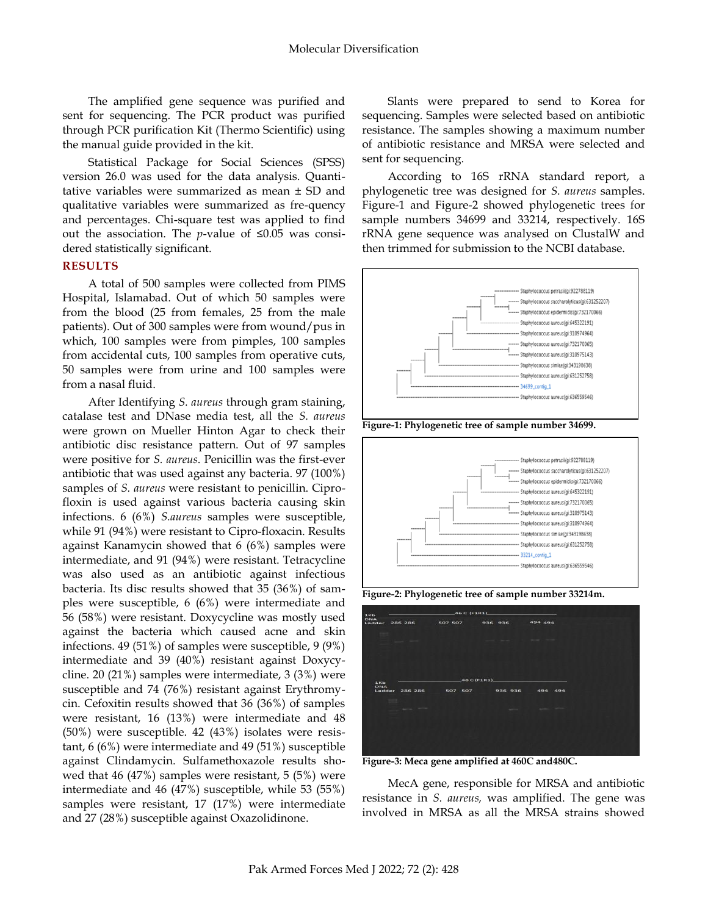The amplified gene sequence was purified and sent for sequencing. The PCR product was purified through PCR purification Kit (Thermo Scientific) using the manual guide provided in the kit.

Statistical Package for Social Sciences (SPSS) version 26.0 was used for the data analysis. Quantitative variables were summarized as mean ± SD and qualitative variables were summarized as fre-quency and percentages. Chi-square test was applied to find out the association. The *p*-value of ≤0.05 was considered statistically significant.

### **RESULTS**

A total of 500 samples were collected from PIMS Hospital, Islamabad. Out of which 50 samples were from the blood (25 from females, 25 from the male patients). Out of 300 samples were from wound/pus in which, 100 samples were from pimples, 100 samples from accidental cuts, 100 samples from operative cuts, 50 samples were from urine and 100 samples were from a nasal fluid.

After Identifying *S. aureus* through gram staining, catalase test and DNase media test, all the *S. aureus* were grown on Mueller Hinton Agar to check their antibiotic disc resistance pattern. Out of 97 samples were positive for *S. aureus*. Penicillin was the first-ever antibiotic that was used against any bacteria. 97 (100%) samples of *S. aureus* were resistant to penicillin. Ciprofloxin is used against various bacteria causing skin infections. 6 (6%) *S.aureus* samples were susceptible, while 91 (94%) were resistant to Cipro-floxacin. Results against Kanamycin showed that 6 (6%) samples were intermediate, and 91 (94%) were resistant. Tetracycline was also used as an antibiotic against infectious bacteria. Its disc results showed that 35 (36%) of samples were susceptible, 6 (6%) were intermediate and 56 (58%) were resistant. Doxycycline was mostly used against the bacteria which caused acne and skin infections. 49 (51%) of samples were susceptible, 9 (9%) intermediate and 39 (40%) resistant against Doxycycline. 20 (21%) samples were intermediate, 3 (3%) were susceptible and 74 (76%) resistant against Erythromycin. Cefoxitin results showed that 36 (36%) of samples were resistant, 16 (13%) were intermediate and 48 (50%) were susceptible. 42 (43%) isolates were resistant, 6 (6%) were intermediate and 49 (51%) susceptible against Clindamycin. Sulfamethoxazole results showed that 46 (47%) samples were resistant, 5 (5%) were intermediate and 46 (47%) susceptible, while 53 (55%) samples were resistant, 17 (17%) were intermediate and 27 (28%) susceptible against Oxazolidinone.

Slants were prepared to send to Korea for sequencing. Samples were selected based on antibiotic resistance. The samples showing a maximum number of antibiotic resistance and MRSA were selected and sent for sequencing.

According to 16S rRNA standard report, a phylogenetic tree was designed for *S. aureus* samples. Figure-1 and Figure-2 showed phylogenetic trees for sample numbers 34699 and 33214, respectively. 16S rRNA gene sequence was analysed on ClustalW and then trimmed for submission to the NCBI database.



**Figure-1: Phylogenetic tree of sample number 34699.**



**Figure-2: Phylogenetic tree of sample number 33214m.**

| 1Kb               |                                                                                                                           | $-46C$ (F1R1) |                                        |                              |  |
|-------------------|---------------------------------------------------------------------------------------------------------------------------|---------------|----------------------------------------|------------------------------|--|
| DNA               |                                                                                                                           |               |                                        |                              |  |
|                   | Ladder 286 286                                                                                                            | 507 507       | 936 936                                | 494 494                      |  |
| ٠<br>--           |                                                                                                                           |               | The Control of the Control of the      |                              |  |
|                   |                                                                                                                           |               |                                        |                              |  |
|                   |                                                                                                                           |               |                                        |                              |  |
| 1Kb<br><b>DNA</b> |                                                                                                                           | 48 C (F1R1)   |                                        |                              |  |
|                   | $rac{1}{2}$                                                                                                               |               | Ladder 286 286 507 507 936 936 494 494 |                              |  |
|                   | $\frac{1}{2} \left( \frac{1}{2} \right) \left( \frac{1}{2} \right) \left( \frac{1}{2} \right) \left( \frac{1}{2} \right)$ |               |                                        | and the state of the control |  |
|                   |                                                                                                                           |               |                                        |                              |  |
|                   |                                                                                                                           |               |                                        |                              |  |
|                   |                                                                                                                           |               |                                        |                              |  |

**Figure-3: Meca gene amplified at 460C and480C.**

MecA gene, responsible for MRSA and antibiotic resistance in *S. aureus,* was amplified. The gene was involved in MRSA as all the MRSA strains showed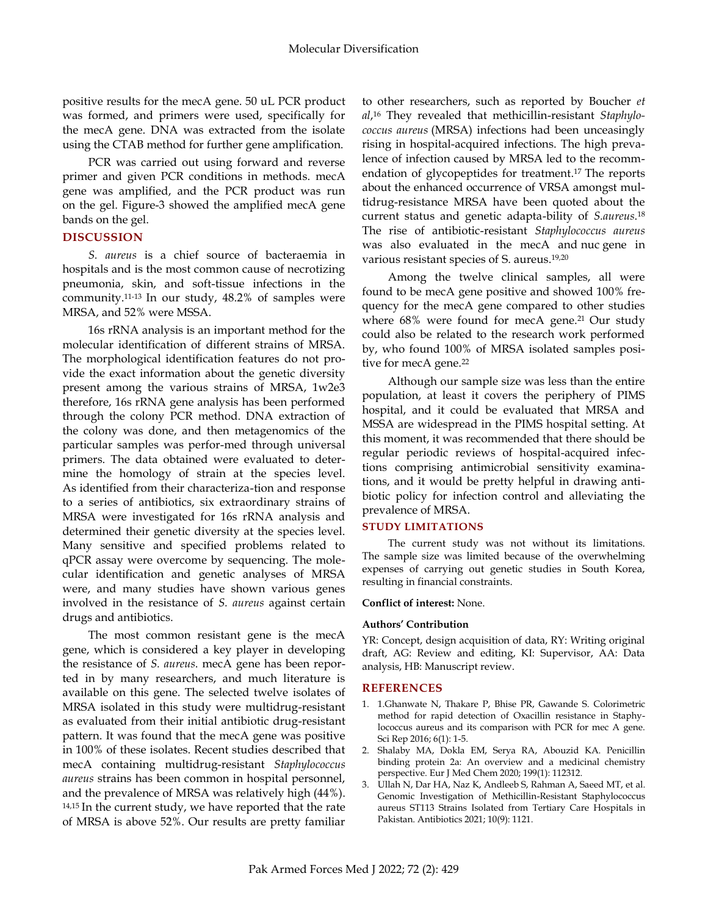positive results for the mecA gene. 50 uL PCR product was formed, and primers were used, specifically for the mecA gene. DNA was extracted from the isolate using the CTAB method for further gene amplification.

PCR was carried out using forward and reverse primer and given PCR conditions in methods. mecA gene was amplified, and the PCR product was run on the gel. Figure-3 showed the amplified mecA gene bands on the gel.

### **DISCUSSION**

*S. aureus* is a chief source of bacteraemia in hospitals and is the most common cause of necrotizing pneumonia, skin, and soft-tissue infections in the community. 11-13 In our study, 48.2% of samples were MRSA, and 52% were MSSA.

16s rRNA analysis is an important method for the molecular identification of different strains of MRSA. The morphological identification features do not provide the exact information about the genetic diversity present among the various strains of MRSA, 1w2e3 therefore, 16s rRNA gene analysis has been performed through the colony PCR method. DNA extraction of the colony was done, and then metagenomics of the particular samples was perfor-med through universal primers. The data obtained were evaluated to determine the homology of strain at the species level. As identified from their characteriza-tion and response to a series of antibiotics, six extraordinary strains of MRSA were investigated for 16s rRNA analysis and determined their genetic diversity at the species level. Many sensitive and specified problems related to qPCR assay were overcome by sequencing. The molecular identification and genetic analyses of MRSA were, and many studies have shown various genes involved in the resistance of *S. aureus* against certain drugs and antibiotics.

The most common resistant gene is the mecA gene, which is considered a key player in developing the resistance of *S. aureus*. mecA gene has been reported in by many researchers, and much literature is available on this gene. The selected twelve isolates of MRSA isolated in this study were multidrug-resistant as evaluated from their initial antibiotic drug-resistant pattern. It was found that the mecA gene was positive in 100% of these isolates. Recent studies described that mecA containing multidrug-resistant *Staphylococcus aureus* strains has been common in hospital personnel, and the prevalence of MRSA was relatively high (44%).  $14,15$  In the current study, we have reported that the rate of MRSA is above 52%. Our results are pretty familiar

to other researchers, such as reported by Boucher *et al*, <sup>16</sup> They revealed that methicillin-resistant *Staphylococcus aureus* (MRSA) infections had been unceasingly rising in hospital-acquired infections. The high prevalence of infection caused by MRSA led to the recommendation of glycopeptides for treatment. <sup>17</sup> The reports about the enhanced occurrence of VRSA amongst multidrug-resistance MRSA have been quoted about the current status and genetic adapta-bility of *S.aureus*. 18 The rise of antibiotic-resistant *Staphylococcus aureus* was also evaluated in the mecA and nuc gene in various resistant species of S. aureus. 19,20

Among the twelve clinical samples, all were found to be mecA gene positive and showed 100% frequency for the mecA gene compared to other studies where 68% were found for mecA gene.<sup>21</sup> Our study could also be related to the research work performed by, who found 100% of MRSA isolated samples positive for mecA gene. 22

Although our sample size was less than the entire population, at least it covers the periphery of PIMS hospital, and it could be evaluated that MRSA and MSSA are widespread in the PIMS hospital setting. At this moment, it was recommended that there should be regular periodic reviews of hospital-acquired infections comprising antimicrobial sensitivity examinations, and it would be pretty helpful in drawing antibiotic policy for infection control and alleviating the prevalence of MRSA.

### **STUDY LIMITATIONS**

The current study was not without its limitations. The sample size was limited because of the overwhelming expenses of carrying out genetic studies in South Korea, resulting in financial constraints.

### **Conflict of interest:** None.

#### **Authors' Contribution**

YR: Concept, design acquisition of data, RY: Writing original draft, AG: Review and editing, KI: Supervisor, AA: Data analysis, HB: Manuscript review.

### **REFERENCES**

- 1. 1.Ghanwate N, Thakare P, Bhise PR, Gawande S. Colorimetric method for rapid detection of Oxacillin resistance in Staphylococcus aureus and its comparison with PCR for mec A gene. Sci Rep 2016; 6(1): 1-5.
- 2. Shalaby MA, Dokla EM, Serya RA, Abouzid KA. Penicillin binding protein 2a: An overview and a medicinal chemistry perspective. Eur J Med Chem 2020; 199(1): 112312.
- 3. Ullah N, Dar HA, Naz K, Andleeb S, Rahman A, Saeed MT, et al. Genomic Investigation of Methicillin-Resistant Staphylococcus aureus ST113 Strains Isolated from Tertiary Care Hospitals in Pakistan. Antibiotics 2021; 10(9): 1121.